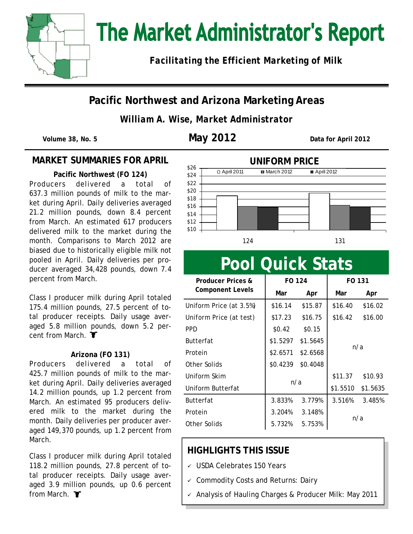

# The Market Administrator's Report

*Facilitating the Efficient Marketing of Milk*

### **Pacific Northwest and Arizona Marketing Areas**

*William A. Wise, Market Administrator*

**Volume 38, No. 5 May 2012 Data for April 2012**

#### **MARKET SUMMARIES FOR APRIL**

**Pacific Northwest (FO 124)** Producers delivered a total of 637.3 million pounds of milk to the market during April. Daily deliveries averaged 21.2 million pounds, down 8.4 percent from March. An estimated 617 producers delivered milk to the market during the month. Comparisons to March 2012 are biased due to historically eligible milk not pooled in April. Daily deliveries per producer averaged 34,428 pounds, down 7.4 percent from March.

Class I producer milk during April totaled 175.4 million pounds, 27.5 percent of total producer receipts. Daily usage averaged 5.8 million pounds, down 5.2 percent from March. **T** 

#### **Arizona (FO 131)**

Producers delivered a total of 425.7 million pounds of milk to the market during April. Daily deliveries averaged 14.2 million pounds, up 1.2 percent from March. An estimated 95 producers delivered milk to the market during the month. Daily deliveries per producer averaged 149,370 pounds, up 1.2 percent from March.

Class I producer milk during April totaled 118.2 million pounds, 27.8 percent of total producer receipts. Daily usage averaged 3.9 million pounds, up 0.6 percent from March.  $\blacktriangledown$ 



# **Pool Quick Stats**

| Producer Prices &       | FO 124   |          | FO 131   |          |  |
|-------------------------|----------|----------|----------|----------|--|
| Component Levels        | Mar      | Apr      | Mar      | Apr      |  |
| Uniform Price (at 3.5%) | \$16.14  | \$15.87  | \$16.40  | \$16.02  |  |
| Uniform Price (at test) | \$17.23  | \$16.75  | \$16.42  | \$16.00  |  |
| <b>PPD</b>              | \$0.42   | \$0.15   |          |          |  |
| <b>Butterfat</b>        | \$1.5297 | \$1.5645 |          |          |  |
| Protein                 | \$2.6571 | \$2.6568 | n/a      |          |  |
| Other Solids            | \$0.4239 | \$0.4048 |          |          |  |
| Uniform Skim            | n/a      |          | \$11.37  | \$10.93  |  |
| Uniform Butterfat       |          |          | \$1.5510 | \$1.5635 |  |
| <b>Butterfat</b>        | 3.833%   | 3.779%   | 3.516%   | 3.485%   |  |
| Protein                 | 3.204%   | 3.148%   |          |          |  |
| Other Solids            | 5.732%   | 5.753%   | n/a      |          |  |

### **HIGHLIGHTS THIS ISSUE**

- USDA Celebrates 150 Years
- Commodity Costs and Returns: Dairy
- Analysis of Hauling Charges & Producer Milk: May 2011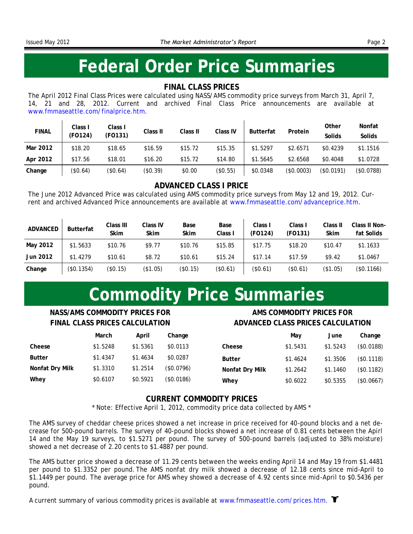### **Federal Order Price Summaries**

#### **FINAL CLASS PRICES**

The April 2012 Final Class Prices were calculated using NASS/AMS commodity price surveys from March 31, April 7, 14, 21 and 28, 2012. Current and archived Final Class Price announcements are available at [www.fmmaseattle.com/finalprice.htm.](http://www.fmmaseattle.com/finalprice.htm)

| <b>FINAL</b> | Class I<br>Class I<br>Class II<br>Class II<br><b>Butterfat</b><br>Class IV |          | Other   | Nonfat  |          |          |            |               |            |
|--------------|----------------------------------------------------------------------------|----------|---------|---------|----------|----------|------------|---------------|------------|
|              | (FO124)                                                                    | (FO131)  |         |         |          |          | Protein    | Solids        | Solids     |
| Mar 2012     | \$18.20                                                                    | \$18.65  | \$16.59 | \$15.72 | \$15.35  | \$1.5297 | \$2.6571   | \$0.4239      | \$1.1516   |
| Apr 2012     | \$17.56                                                                    | \$18.01  | \$16.20 | \$15.72 | \$14.80  | \$1.5645 | \$2.6568   | \$0.4048      | \$1.0728   |
| Change       | \$0.64)                                                                    | (\$0.64) | \$0.39) | \$0.00  | (\$0.55) | \$0.0348 | (\$0.0003) | $($ \$0.0191) | (\$0.0788) |

#### **ADVANCED CLASS I PRICE**

The June 2012 Advanced Price was calculated using AMS commodity price surveys from May 12 and 19, 2012. Current and archived Advanced Price announcements are available at [www.fmmaseattle.com/advanceprice.htm.](http://www.fmmaseattle.com/advanceprice.htm)

| ADVANCED | Butterfat     | Class III<br>Skim | Class IV<br><b>Skim</b> | Base<br><b>Skim</b> | Base<br>Class I | Class I<br>(FO124) | Class I<br>(FO131) | Class II<br>Skim | Class II Non-<br>fat Solids |
|----------|---------------|-------------------|-------------------------|---------------------|-----------------|--------------------|--------------------|------------------|-----------------------------|
| May 2012 | \$1.5633      | \$10.76           | \$9.77                  | \$10.76             | \$15.85         | \$17.75            | \$18.20            | \$10.47          | \$1.1633                    |
| Jun 2012 | \$1.4279      | \$10.61           | \$8.72                  | \$10.61             | \$15.24         | \$17.14            | \$17.59            | \$9.42           | \$1.0467                    |
| Change   | $($ \$0.1354) | (S0.15)           | $($ \$1.05)             | $($ \$0.15)         | (\$0.61)        | (\$0.61)           | $($ \$0.61)        | (\$1.05)         | (\$0.1166)                  |

### **Commodity Price Summaries**

#### **NASS/AMS COMMODITY PRICES FOR FINAL CLASS PRICES CALCULATION**

#### **AMS COMMODITY PRICES FOR ADVANCED CLASS PRICES CALCULATION**

|                 | March    | April    | Change     |
|-----------------|----------|----------|------------|
| Cheese          | \$1.5248 | \$1.5361 | \$0.0113   |
| <b>Butter</b>   | \$1.4347 | \$1.4634 | \$0.0287   |
| Nonfat Dry Milk | \$1.3310 | \$1.2514 | (\$0.0796) |
| Whey            | \$0.6107 | \$0.5921 | (\$0.0186) |

|                 | May      | June     | Change     |
|-----------------|----------|----------|------------|
| Cheese          | \$1.5431 | \$1.5243 | (\$0.0188) |
| <b>Butter</b>   | \$1.4624 | \$1.3506 | (\$0.1118) |
| Nonfat Dry Milk | \$1.2642 | \$1.1460 | (\$0.1182) |
| Whey            | \$0.6022 | \$0.5355 | (\$0.0667) |

#### **CURRENT COMMODITY PRICES**

\* Note: Effective April 1, 2012, commodity price data collected by AMS \*

The AMS survey of cheddar cheese prices showed a net increase in price received for 40-pound blocks and a net decrease for 500-pound barrels. The survey of 40-pound blocks showed a net increase of 0.81 cents between the Apirl 14 and the May 19 surveys, to \$1.5271 per pound. The survey of 500-pound barrels (adjusted to 38% moisture) showed a net decrease of 2.20 cents to \$1.4887 per pound.

The AMS butter price showed a decrease of 11.29 cents between the weeks ending April 14 and May 19 from \$1.4481 per pound to \$1.3352 per pound. The AMS nonfat dry milk showed a decrease of 12.18 cents since mid-April to \$1.1449 per pound. The average price for AMS whey showed a decrease of 4.92 cents since mid-April to \$0.5436 per pound.

A current summary of various commodity prices is available at www.fmmaseattle.com/prices.htm.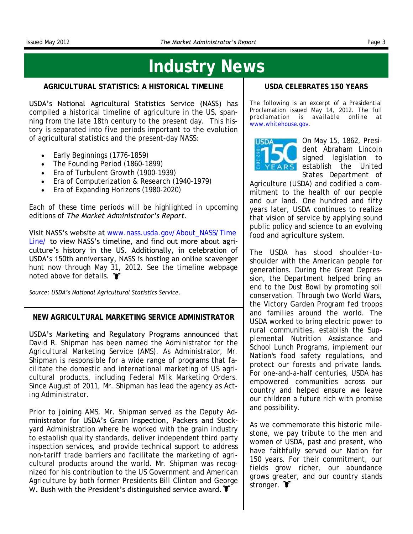### **Industry News**

**AGRICULTURAL STATISTICS: A HISTORICAL TIMELINE**

USDA's National Agricultural Statistics Service (NASS) has compiled a historical timeline of agriculture in the US, spanning from the late 18th century to the present day. This history is separated into five periods important to the evolution of agricultural statistics and the present-day NASS:

- Early Beginnings (1776-1859)
- The Founding Period (1860-1899)
- Era of Turbulent Growth (1900-1939)
- Era of Computerization & Research (1940-1979)
- Era of Expanding Horizons (1980-2020)

Each of these time periods will be highlighted in upcoming editions of *The Market Administrator's Report*.

Visit NASS's website at [www.nass.usda.gov/About\\_NASS/Time](http://www.nass.usda.gov/About_NASS/Timeline/index.asp) [Line/](http://www.nass.usda.gov/About_NASS/Timeline/index.asp) to view NASS's timeline, and find out more about agriculture's history in the US. Additionally, in celebration of USDA's 150th anniversary, NASS is hosting an online scavenger hunt now through May 31, 2012. See the timeline webpage noted above for details. **T** 

*Source: USDA's National Agricultural Statistics Service.*

**NEW AGRICULTURAL MARKETING SERVICE ADMINISTRATOR**

USDA's Marketing and Regulatory Programs announced that David R. Shipman has been named the Administrator for the Agricultural Marketing Service (AMS). As Administrator, Mr. Shipman is responsible for a wide range of programs that facilitate the domestic and international marketing of US agricultural products, including Federal Milk Marketing Orders. Since August of 2011, Mr. Shipman has lead the agency as Acting Administrator.

Prior to joining AMS, Mr. Shipman served as the Deputy Administrator for USDA's Grain Inspection, Packers and Stockyard Administration where he worked with the grain industry to establish quality standards, deliver independent third party inspection services, and provide technical support to address non-tariff trade barriers and facilitate the marketing of agricultural products around the world. Mr. Shipman was recognized for his contribution to the US Government and American Agriculture by both former Presidents Bill Clinton and George W. Bush with the President's distinguished service award.  $\blacktriangledown$ 

#### **USDA CELEBRATES 150 YEARS**

*The following is an excerpt of a Presidential Proclamation issued May 14, 2012. The full proclamation is available online at [www.whitehouse.gov.](http://www.whitehouse.gov)*



On May 15, 1862, President Abraham Lincoln signed legislation to establish the United States Department of

Agriculture (USDA) and codified a commitment to the health of our people and our land. One hundred and fifty years later, USDA continues to realize that vision of service by applying sound public policy and science to an evolving food and agriculture system.

The USDA has stood shoulder-toshoulder with the American people for generations. During the Great Depression, the Department helped bring an end to the Dust Bowl by promoting soil conservation. Through two World Wars, the Victory Garden Program fed troops and families around the world. The USDA worked to bring electric power to rural communities, establish the Supplemental Nutrition Assistance and School Lunch Programs, implement our Nation's food safety regulations, and protect our forests and private lands. For one-and-a-half centuries, USDA has empowered communities across our country and helped ensure we leave our children a future rich with promise and possibility.

As we commemorate this historic milestone, we pay tribute to the men and women of USDA, past and present, who have faithfully served our Nation for 150 years. For their commitment, our fields grow richer, our abundance grows greater, and our country stands stronger. **T**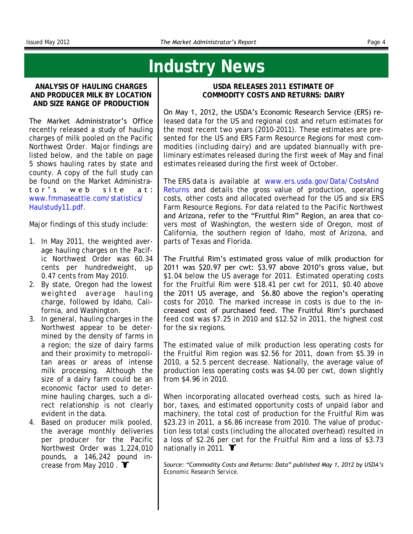### **Industry News**

**ANALYSIS OF HAULING CHARGES AND PRODUCER MILK BY LOCATION AND SIZE RANGE OF PRODUCTION**

The Market Administrator's Office recently released a study of hauling charges of milk pooled on the Pacific Northwest Order. Major findings are listed below, and the table on page 5 shows hauling rates by state and county. A copy of the full study can be found on the Market Administrator's web site at: [www.fmmaseattle.com/statistics/](http://www.fmmaseattle.com/statistics/haulstudy11.pdf) [Haulstudy11.pdf.](http://www.fmmaseattle.com/statistics/haulstudy11.pdf) 

Major findings of this study include:

- 1. In May 2011, the weighted average hauling charges on the Pacific Northwest Order was 60.34 cents per hundredweight, up 0.47 cents from May 2010.
- 2. By state, Oregon had the lowest weighted average hauling charge, followed by Idaho, California, and Washington.
- 3. In general, hauling charges in the Northwest appear to be determined by the density of farms in a region; the size of dairy farms and their proximity to metropolitan areas or areas of intense milk processing. Although the size of a dairy farm could be an economic factor used to determine hauling charges, such a direct relationship is not clearly evident in the data.
- 4. Based on producer milk pooled, the average monthly deliveries per producer for the Pacific Northwest Order was 1,224,010 pounds, a 146,242 pound increase from May 2010.

**USDA RELEASES 2011 ESTIMATE OF COMMODITY COSTS AND RETURNS: DAIRY**

On May 1, 2012, the USDA's Economic Research Service (ERS) released data for the US and regional cost and return estimates for the most recent two years (2010-2011). These estimates are presented for the US and ERS Farm Resource Regions for most commodities (*including dairy*) and are updated biannually with preliminary estimates released during the first week of May and final estimates released during the first week of October.

The ERS data is available at [www.ers.usda.gov/Data/CostsAnd](http://www.ers.usda.gov/Data/CostsAndReturns) [Returns](http://www.ers.usda.gov/Data/CostsAndReturns) and details the gross value of production, operating costs, other costs and allocated overhead for the US and six ERS Farm Resource Regions. For data related to the Pacific Northwest and Arizona, refer to the "Fruitful Rim" Region, an area that covers most of Washington, the western side of Oregon, most of California, the southern region of Idaho, most of Arizona, and parts of Texas and Florida.

The Fruitful Rim's estimated gross value of milk production for 2011 was \$20.97 per cwt: \$3.97 above 2010's gross value, but \$1.04 below the US average for 2011. Estimated operating costs for the Fruitful Rim were \$18.41 per cwt for 2011, \$0.40 above the 2011 US average, and \$6.80 above the region's operating costs for 2010. The marked increase in costs is due to the increased cost of purchased feed. The Fruitful Rim's purchased feed cost was \$7.25 in 2010 and \$12.52 in 2011, the highest cost for the six regions.

The estimated value of milk production less operating costs for the Fruitful Rim region was \$2.56 for 2011, down from \$5.39 in 2010, a 52.5 percent decrease. Nationally, the average value of production less operating costs was \$4.00 per cwt, down slightly from \$4.96 in 2010.

When incorporating allocated overhead costs, such as hired labor, taxes, and estimated opportunity costs of unpaid labor and machinery, the total cost of production for the Fruitful Rim was \$23.23 in 2011, a \$6.86 increase from 2010. The value of production less total costs (including the allocated overhead) resulted in a loss of \$2.26 per cwt for the Fruitful Rim and a loss of \$3.73 nationally in 2011.  $\blacktriangledown$ 

*Source: "Commodity Costs and Returns: Data" published May 1, 2012 by USDA's Economic Research Service.*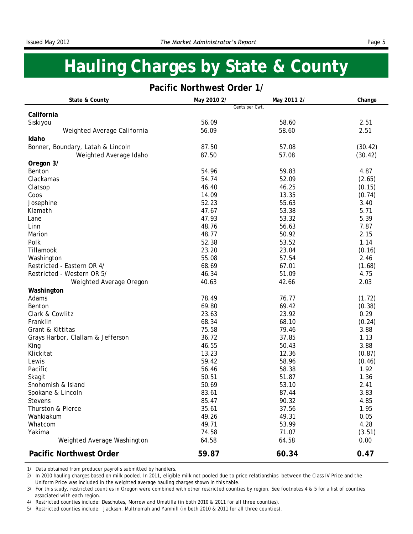### **Hauling Charges by State & County**

#### **Pacific Northwest Order 1/**

| State & County                    | May 2010 2/ | May 2011 2/    | Change  |
|-----------------------------------|-------------|----------------|---------|
| California                        |             | Cents per Cwt. |         |
| Siskiyou                          | 56.09       | 58.60          | 2.51    |
| Weighted Average California       | 56.09       | 58.60          | 2.51    |
| Idaho                             |             |                |         |
| Bonner, Boundary, Latah & Lincoln | 87.50       | 57.08          | (30.42) |
| Weighted Average Idaho            | 87.50       | 57.08          | (30.42) |
| Oregon 3/                         |             |                |         |
| Benton                            | 54.96       | 59.83          | 4.87    |
| Clackamas                         | 54.74       | 52.09          | (2.65)  |
| Clatsop                           | 46.40       | 46.25          | (0.15)  |
| Coos                              | 14.09       | 13.35          | (0.74)  |
| Josephine                         | 52.23       | 55.63          | 3.40    |
| Klamath                           | 47.67       | 53.38          | 5.71    |
| Lane                              | 47.93       | 53.32          | 5.39    |
| Linn                              | 48.76       | 56.63          | 7.87    |
| Marion                            | 48.77       | 50.92          | 2.15    |
| Polk                              | 52.38       | 53.52          | 1.14    |
| Tillamook                         | 23.20       | 23.04          | (0.16)  |
| Washington                        | 55.08       | 57.54          | 2.46    |
| Restricted - Eastern OR 4/        | 68.69       | 67.01          | (1.68)  |
| Restricted - Western OR 5/        | 46.34       | 51.09          | 4.75    |
| Weighted Average Oregon           | 40.63       | 42.66          | 2.03    |
| Washington                        |             |                |         |
| Adams                             | 78.49       | 76.77          | (1.72)  |
| Benton                            | 69.80       | 69.42          | (0.38)  |
| Clark & Cowlitz                   | 23.63       | 23.92          | 0.29    |
| Franklin                          | 68.34       | 68.10          | (0.24)  |
| Grant & Kittitas                  | 75.58       | 79.46          | 3.88    |
| Grays Harbor, Clallam & Jefferson | 36.72       | 37.85          | 1.13    |
| King                              | 46.55       | 50.43          | 3.88    |
| Klickitat                         | 13.23       | 12.36          | (0.87)  |
| Lewis                             | 59.42       | 58.96          | (0.46)  |
| Pacific                           | 56.46       | 58.38          | 1.92    |
| Skagit                            | 50.51       | 51.87          | 1.36    |
| Snohomish & Island                | 50.69       | 53.10          | 2.41    |
| Spokane & Lincoln                 | 83.61       | 87.44          | 3.83    |
| Stevens                           | 85.47       | 90.32          | 4.85    |
| Thurston & Pierce                 | 35.61       | 37.56          | 1.95    |
| Wahkiakum                         | 49.26       | 49.31          | 0.05    |
| Whatcom                           | 49.71       | 53.99          | 4.28    |
| Yakima                            | 74.58       | 71.07          | (3.51)  |
| Weighted Average Washington       | 64.58       | 64.58          | 0.00    |
| Pacific Northwest Order           | 59.87       | 60.34          | 0.47    |

1/ Data obtained from producer payrolls submitted by handlers.

 Uniform Price was included in the weighted average hauling charges shown in this table. 2/ In 2010 hauling charges based on milk pooled. In 2011, eligible milk not pooled due to price relationships between the Class IV Price and the

 associated with each region. 3/ For this study, restricted counties in Oregon were combined with other restricted counties by region. See footnotes 4 & 5 for a list of counties

4/ Restricted counties include: Deschutes, Morrow and Umatilla (in both 2010 & 2011 for all three counties).

5/ Restricted counties include: Jackson, Multnomah and Yamhill (in both 2010 & 2011 for all three counties).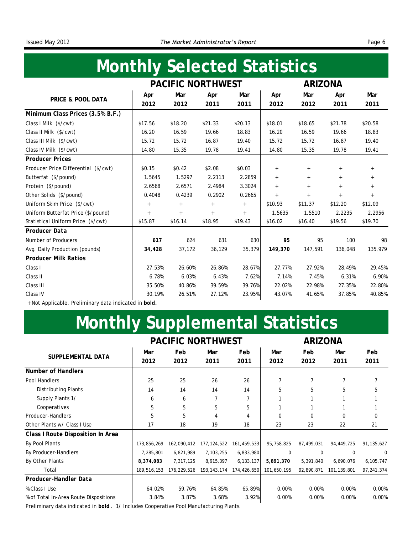## **Monthly Selected Statistics**

|                                      |         |         | PACIFIC NORTHWEST |         |         | ARIZONA |         |         |
|--------------------------------------|---------|---------|-------------------|---------|---------|---------|---------|---------|
|                                      | Apr     | Mar     | Apr               | Mar     | Apr     | Mar     | Apr     | Mar     |
| PRICE & POOL DATA                    | 2012    | 2012    | 2011              | 2011    | 2012    | 2012    | 2011    | 2011    |
| Minimum Class Prices (3.5% B.F.)     |         |         |                   |         |         |         |         |         |
| Class   Milk (\$/cwt)                | \$17.56 | \$18.20 | \$21.33           | \$20.13 | \$18.01 | \$18.65 | \$21.78 | \$20.58 |
| Class II Milk (\$/cwt)               | 16.20   | 16.59   | 19.66             | 18.83   | 16.20   | 16.59   | 19.66   | 18.83   |
| Class III Milk (\$/cwt)              | 15.72   | 15.72   | 16.87             | 19.40   | 15.72   | 15.72   | 16.87   | 19.40   |
| Class IV Milk (\$/cwt)               | 14.80   | 15.35   | 19.78             | 19.41   | 14.80   | 15.35   | 19.78   | 19.41   |
| <b>Producer Prices</b>               |         |         |                   |         |         |         |         |         |
| Producer Price Differential (\$/cwt) | \$0.15  | \$0.42  | \$2.08            | \$0.03  | $+$     | $+$     | $^{+}$  | $+$     |
| Butterfat (\$/pound)                 | 1.5645  | 1.5297  | 2.2113            | 2.2859  | $+$     | $+$     | $+$     | $+$     |
| Protein (\$/pound)                   | 2.6568  | 2.6571  | 2.4984            | 3.3024  | $+$     | $+$     | $+$     | $+$     |
| Other Solids (\$/pound)              | 0.4048  | 0.4239  | 0.2902            | 0.2665  | $+$     | $+$     | $+$     | $+$     |
| Uniform Skim Price (\$/cwt)          | $\! +$  | $+$     | $^+$              | $+$     | \$10.93 | \$11.37 | \$12.20 | \$12.09 |
| Uniform Butterfat Price (\$/pound)   | $+$     | $+$     | $^{+}$            | $+$     | 1.5635  | 1.5510  | 2.2235  | 2.2956  |
| Statistical Uniform Price (\$/cwt)   | \$15.87 | \$16.14 | \$18.95           | \$19.43 | \$16.02 | \$16.40 | \$19.56 | \$19.70 |
| Producer Data                        |         |         |                   |         |         |         |         |         |
| Number of Producers                  | 617     | 624     | 631               | 630     | 95      | 95      | 100     | 98      |
| Avg. Daily Production (pounds)       | 34,428  | 37,172  | 36,129            | 35,379  | 149,370 | 147,591 | 136,048 | 135,979 |
| <b>Producer Milk Ratios</b>          |         |         |                   |         |         |         |         |         |
| Class I                              | 27.53%  | 26.60%  | 26.86%            | 28.67%  | 27.77%  | 27.92%  | 28.49%  | 29.45%  |
| Class II                             | 6.78%   | 6.03%   | 6.43%             | 7.62%   | 7.14%   | 7.45%   | 6.31%   | 6.90%   |
| Class III                            | 35.50%  | 40.86%  | 39.59%            | 39.76%  | 22.02%  | 22.98%  | 27.35%  | 22.80%  |
| Class IV                             | 30.19%  | 26.51%  | 27.12%            | 23.95%  | 43.07%  | 41.65%  | 37.85%  | 40.85%  |
|                                      |         |         |                   |         |         |         |         |         |

+ Not Applicable. Preliminary data indicated in *bold.*

# **Monthly Supplemental Statistics**

|                                       |             |             | <b>PACIFIC NORTHWEST</b> |                |             | ARIZONA     |               |              |
|---------------------------------------|-------------|-------------|--------------------------|----------------|-------------|-------------|---------------|--------------|
| SUPPLEMENTAL DATA                     | Mar<br>2012 | Feb<br>2012 | Mar<br>2011              | Feb<br>2011    | Mar<br>2012 | Feb<br>2012 | Mar<br>2011   | Feb<br>2011  |
| Number of Handlers                    |             |             |                          |                |             |             |               |              |
| Pool Handlers                         | 25          | 25          | 26                       | 26             | 7           |             |               |              |
| Distributing Plants                   | 14          | 14          | 14                       | 14             | 5           | 5           | 5             | 5            |
| Supply Plants 1/                      | 6           | 6           | 7                        | 7              |             |             |               |              |
| Cooperatives                          | 5           | 5           | 5                        | 5              |             |             |               |              |
| Producer-Handlers                     | 5           | 5           | 4                        | $\overline{4}$ | 0           | $\Omega$    | 0             | 0            |
| Other Plants w/ Class I Use           | 17          | 18          | 19                       | 18             | 23          | 23          | 22            | 21           |
| Class I Route Disposition In Area     |             |             |                          |                |             |             |               |              |
| By Pool Plants                        | 173,856,269 | 162,090,412 | 177, 124, 522            | 161,459,533    | 95,758,825  | 87,499,031  | 94,449,725    | 91, 135, 627 |
| By Producer-Handlers                  | 7,285,801   | 6,821,989   | 7,103,255                | 6,833,980      | $\Omega$    | $\Omega$    | $\Omega$      | $\Omega$     |
| By Other Plants                       | 8,374,083   | 7,317,125   | 8,915,397                | 6, 133, 137    | 5,891,370   | 5,391,840   | 6,690,076     | 6, 105, 747  |
| Total                                 | 189,516,153 | 176,229,526 | 193, 143, 174            | 174,426,650    | 101,650,195 | 92,890,871  | 101, 139, 801 | 97, 241, 374 |
| Producer-Handler Data                 |             |             |                          |                |             |             |               |              |
| % Class I Use                         | 64.02%      | 59.76%      | 64.85%                   | 65.89%         | 0.00%       | 0.00%       | 0.00%         | 0.00%        |
| % of Total In-Area Route Dispositions | 3.84%       | 3.87%       | 3.68%                    | 3.92%          | 0.00%       | 0.00%       | 0.00%         | 0.00%        |
|                                       |             |             |                          |                |             |             |               |              |

Preliminary data indicated in *bold* . 1/ Includes Cooperative Pool Manufacturing Plants.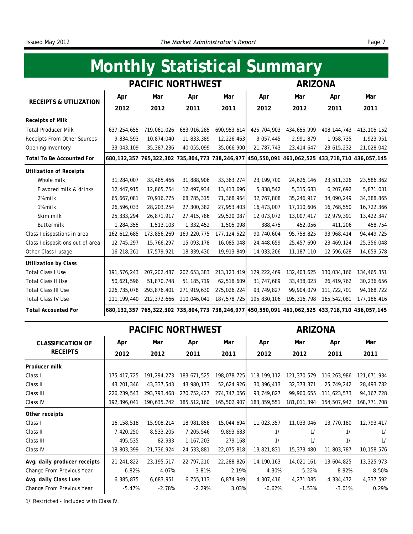## **Monthly Statistical Summary**

|                                  |               |               | PACIFIC NORTHWEST |               |               | <b>ARIZONA</b> |                                                                                                                 |               |
|----------------------------------|---------------|---------------|-------------------|---------------|---------------|----------------|-----------------------------------------------------------------------------------------------------------------|---------------|
| RECEIPTS & UTILIZATION           | Apr           | Mar           | Apr               | Mar           | Apr           | Mar            | Apr                                                                                                             | Mar           |
|                                  | 2012          | 2012          | 2011              | 2011          | 2012          | 2012           | 2011                                                                                                            | 2011          |
| Receipts of Milk                 |               |               |                   |               |               |                |                                                                                                                 |               |
| <b>Total Producer Milk</b>       | 637, 254, 655 | 719,061,026   | 683, 916, 285     | 690, 953, 614 | 425, 704, 903 | 434,655,999    | 408, 144, 743                                                                                                   | 413, 105, 152 |
| Receipts From Other Sources      | 9,834,593     | 10,874,040    | 11,833,389        | 12,226,463    | 3,057,445     | 2,991,879      | 1,958,735                                                                                                       | 1,923,951     |
| Opening Inventory                | 33,043,109    | 35, 387, 236  | 40,055,099        | 35,066,900    | 21,787,743    | 23, 414, 647   | 23,615,232                                                                                                      | 21,028,042    |
| Total To Be Accounted For        |               |               |                   |               |               |                | 680, 132, 357 765, 322, 302 735, 804, 773 738, 246, 977 450, 550, 091 461, 062, 525 433, 718, 710 436, 057, 145 |               |
| Utilization of Receipts          |               |               |                   |               |               |                |                                                                                                                 |               |
| Whole milk                       | 31,284,007    | 33,485,466    | 31,888,906        | 33, 363, 274  | 23, 199, 700  | 24,626,146     | 23,511,326                                                                                                      | 23,586,362    |
| Flavored milk & drinks           | 12,447,915    | 12,865,754    | 12,497,934        | 13,413,696    | 5,838,542     | 5,315,683      | 6,207,692                                                                                                       | 5,871,031     |
| 2% milk                          | 65,667,081    | 70,916,775    | 68,785,315        | 71,368,964    | 32,767,808    | 35,246,917     | 34,090,249                                                                                                      | 34, 388, 865  |
| $1\%$ milk                       | 26,596,033    | 28, 203, 254  | 27,300,382        | 27, 953, 403  | 16,473,007    | 17,110,606     | 16,768,550                                                                                                      | 16,722,366    |
| Skim milk                        | 25, 333, 294  | 26,871,917    | 27,415,786        | 29,520,087    | 12,073,072    | 13,007,417     | 12,979,391                                                                                                      | 13, 422, 347  |
| Buttermilk                       | 1,284,355     | 1,513,103     | 1,332,452         | 1,505,098     | 388,475       | 452,056        | 411,206                                                                                                         | 458,754       |
| Class I dispostions in area      | 162,612,685   | 173, 856, 269 | 169, 220, 775     | 177, 124, 522 | 90,740,604    | 95,758,825     | 93, 968, 414                                                                                                    | 94,449,725    |
| Class I dispositions out of area | 12,745,297    | 15,766,297    | 15,093,178        | 16,085,048    | 24,448,659    | 25,457,690     | 23, 469, 124                                                                                                    | 25,356,048    |
| Other Class I usage              | 16,218,261    | 17,579,921    | 18,339,430        | 19,913,849    | 14,033,206    | 11, 187, 110   | 12,596,628                                                                                                      | 14,659,578    |
| Utilization by Class             |               |               |                   |               |               |                |                                                                                                                 |               |
| <b>Total Class I Use</b>         | 191,576,243   | 207, 202, 487 | 202, 653, 383     | 213, 123, 419 | 129, 222, 469 | 132,403,625    | 130,034,166                                                                                                     | 134, 465, 351 |
| Total Class II Use               | 50,621,596    | 51,870,748    | 51, 185, 719      | 62,518,609    | 31,747,689    | 33,438,023     | 26,419,762                                                                                                      | 30,236,656    |
| <b>Total Class III Use</b>       | 226,735,078   | 293, 876, 401 | 271,919,630       | 275,026,224   | 93,749,827    | 99,904,079     | 111, 722, 701                                                                                                   | 94, 168, 722  |
| <b>Total Class IV Use</b>        | 211, 199, 440 | 212, 372, 666 | 210,046,041       | 187,578,725   | 195,830,106   | 195, 316, 798  | 165,542,081                                                                                                     | 177, 186, 416 |
| <b>Total Accounted For</b>       |               |               |                   |               |               |                | 680,132,357 765,322,302 735,804,773 738,246,977 450,550,091 461,062,525 433,718,710 436,057,145                 |               |

|                              |               |               | PACIFIC NORTHWEST |             |               | ARIZONA      |               |               |
|------------------------------|---------------|---------------|-------------------|-------------|---------------|--------------|---------------|---------------|
| <b>CLASSIFICATION OF</b>     | Apr           | Mar           | Apr               | Mar         | Apr           | Mar          | Apr           | Mar           |
| <b>RECEIPTS</b>              | 2012          | 2012          | 2011              | 2011        | 2012          | 2012         | 2011          | 2011          |
| Producer milk                |               |               |                   |             |               |              |               |               |
| Class I                      | 175, 417, 725 | 191, 294, 273 | 183,671,525       | 198,078,725 | 118, 199, 112 | 121,370,579  | 116, 263, 986 | 121,671,934   |
| Class II                     | 43, 201, 346  | 43, 337, 543  | 43,980,173        | 52,624,926  | 30, 396, 413  | 32, 373, 371 | 25,749,242    | 28, 493, 782  |
| Class III                    | 226, 239, 543 | 293, 793, 468 | 270, 752, 427     | 274,747,056 | 93,749,827    | 99,900,655   | 111,623,573   | 94, 167, 728  |
| Class IV                     | 192,396,041   | 190,635,742   | 185, 512, 160     | 165,502,907 | 183, 359, 551 | 181,011,394  | 154,507,942   | 168, 771, 708 |
| Other receipts               |               |               |                   |             |               |              |               |               |
| Class I                      | 16, 158, 518  | 15,908,214    | 18,981,858        | 15,044,694  | 11,023,357    | 11,033,046   | 13,770,180    | 12,793,417    |
| Class II                     | 7,420,250     | 8,533,205     | 7,205,546         | 9,893,683   | 1/            | 1/           | 1/            | 1/            |
| Class III                    | 495,535       | 82,933        | 1, 167, 203       | 279,168     | 1/            | 1/           | 1/            | 1/            |
| Class IV                     | 18,803,399    | 21,736,924    | 24,533,881        | 22,075,818  | 13,821,831    | 15, 373, 480 | 11,803,787    | 10, 158, 576  |
| Avg. daily producer receipts | 21, 241, 822  | 23, 195, 517  | 22,797,210        | 22,288,826  | 14, 190, 163  | 14,021,161   | 13,604,825    | 13, 325, 973  |
| Change From Previous Year    | $-6.82%$      | 4.07%         | 3.81%             | $-2.19%$    | 4.30%         | 5.22%        | 8.92%         | 8.50%         |
| Avg. daily Class I use       | 6,385,875     | 6,683,951     | 6,755,113         | 6,874,949   | 4,307,416     | 4,271,085    | 4,334,472     | 4,337,592     |
| Change From Previous Year    | $-5.47%$      | $-2.78%$      | $-2.29%$          | 3.03%       | $-0.62%$      | $-1.53%$     | $-3.01%$      | 0.29%         |

1/ Restricted - Included with Class IV.